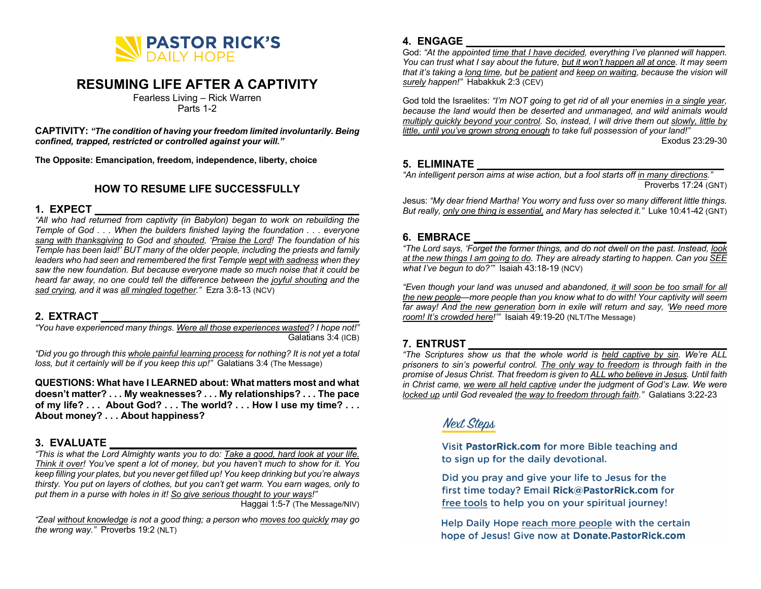

# **RESUMING LIFE AFTER A CAPTIVITY**

Fearless Living – Rick Warren Parts 1-2

**CAPTIVITY:** *"The condition of having your freedom limited involuntarily. Being confined, trapped, restricted or controlled against your will."*

**The Opposite: Emancipation, freedom, independence, liberty, choice**

### **HOW TO RESUME LIFE SUCCESSFULLY**

## **1. EXPECT \_\_\_\_\_\_\_\_\_\_\_\_\_\_\_\_\_\_\_\_\_\_\_\_\_\_\_\_\_\_\_\_\_\_\_\_\_\_\_\_\_\_\_\_\_**

*"All who had returned from captivity (in Babylon) began to work on rebuilding the Temple of God . . . When the builders finished laying the foundation . . . everyone sang with thanksgiving to God and shouted, 'Praise the Lord! The foundation of his Temple has been laid!' BUT many of the older people, including the priests and family leaders who had seen and remembered the first Temple wept with sadness when they saw the new foundation. But because everyone made so much noise that it could be heard far away, no one could tell the difference between the joyful shouting and the sad crying, and it was all mingled together."* Ezra 3:8-13 (NCV)

## **2. EXTRACT \_\_\_\_\_\_\_\_\_\_\_\_\_\_\_\_\_\_\_\_\_\_\_\_\_\_\_\_\_\_\_\_\_\_\_\_\_\_\_\_\_\_\_\_**

*"You have experienced many things. Were all those experiences wasted? I hope not!"* Galatians 3:4 (ICB)

*"Did you go through this whole painful learning process for nothing? It is not yet a total loss, but it certainly will be if you keep this up!"* Galatians 3:4 (The Message)

**QUESTIONS: What have I LEARNED about: What matters most and what doesn't matter? . . . My weaknesses? . . . My relationships? . . . The pace of my life? . . . About God? . . . The world? . . . How I use my time? . . . About money? . . . About happiness?**

### **3. EVALUATE \_\_\_\_\_\_\_\_\_\_\_\_\_\_\_\_\_\_\_\_\_\_\_\_\_\_\_\_\_\_\_\_\_\_\_\_\_\_\_\_\_\_**

*"This is what the Lord Almighty wants you to do: Take a good, hard look at your life. Think it over! You've spent a lot of money, but you haven't much to show for it. You keep filling your plates, but you never get filled up! You keep drinking but you're always thirsty. You put on layers of clothes, but you can't get warm. You earn wages, only to put them in a purse with holes in it! So give serious thought to your ways!"*

Haggai 1:5-7 (The Message/NIV)

*"Zeal without knowledge is not a good thing; a person who moves too quickly may go the wrong way."* Proverbs 19:2 (NLT)

## **4. ENGAGE \_\_\_\_\_\_\_\_\_\_\_\_\_\_\_\_\_\_\_\_\_\_\_\_\_\_\_\_\_\_\_\_\_\_\_\_\_\_\_\_\_\_\_\_**

God: *"At the appointed time that I have decided, everything I've planned will happen. You can trust what I say about the future, but it won't happen all at once. It may seem that it's taking a long time, but be patient and keep on waiting, because the vision will surely happen!"* Habakkuk 2:3 (CEV)

God told the Israelites: *"I'm NOT going to get rid of all your enemies in a single year, because the land would then be deserted and unmanaged, and wild animals would multiply quickly beyond your control. So, instead, I will drive them out slowly, little by little, until you've grown strong enough to take full possession of your land!"*

Exodus 23:29-30

#### **5. ELIMINATE \_\_\_\_\_\_\_\_\_\_\_\_\_\_\_\_\_\_\_\_\_\_\_\_\_\_\_\_\_\_\_\_\_\_\_\_\_\_\_\_\_\_**

*"An intelligent person aims at wise action, but a fool starts off in many directions."*  Proverbs 17:24 (GNT)

Jesus: *"My dear friend Martha! You worry and fuss over so many different little things. But really, only one thing is essential, and Mary has selected it."* Luke 10:41-42 (GNT)

## **6. EMBRACE \_\_\_\_\_\_\_\_\_\_\_\_\_\_\_\_\_\_\_\_\_\_\_\_\_\_\_\_\_\_\_\_\_\_\_\_\_\_\_\_\_\_\_**

*"The Lord says, 'Forget the former things, and do not dwell on the past. Instead, look at the new things I am going to do. They are already starting to happen. Can you SEE what I've begun to do?'"* Isaiah 43:18-19 (NCV)

*"Even though your land was unused and abandoned, it will soon be too small for all the new people—more people than you know what to do with! Your captivity will seem far away! And the new generation born in exile will return and say, 'We need more room! It's crowded here!'"* Isaiah 49:19-20 (NLT/The Message)

## **7. ENTRUST \_\_\_\_\_\_\_\_\_\_\_\_\_\_\_\_\_\_\_\_\_\_\_\_\_\_\_\_\_\_\_\_\_\_\_\_\_\_\_\_\_\_\_\_**

*"The Scriptures show us that the whole world is held captive by sin. We're ALL prisoners to sin's powerful control. The only way to freedom is through faith in the promise of Jesus Christ. That freedom is given to ALL who believe in Jesus. Until faith in Christ came, we were all held captive under the judgment of God's Law. We were locked up until God revealed the way to freedom through faith."* Galatians 3:22-23

## **Next Steps**

Visit PastorRick.com for more Bible teaching and to sign up for the daily devotional.

Did you pray and give your life to Jesus for the first time today? Email Rick@PastorRick.com for free tools to help you on your spiritual journey!

Help Daily Hope reach more people with the certain hope of Jesus! Give now at Donate.PastorRick.com